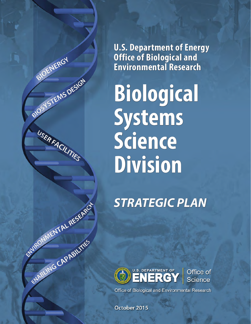**U.S. Department of Energy Office of Biological and Environmental Research**

BIOENERGY

BIOT TEMS DESIGN

USERFACILITIES

ENTRONAMENT AL RESERVED

ENABLING CAPABILITÉS

**Biological Systems Science Division**

*STRATEGIC PLAN*



Office of **Science** 

Office of Biological and Environmental Research

October 2015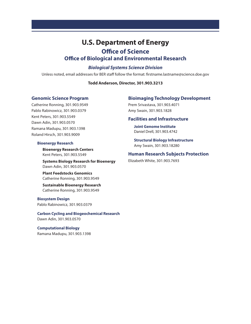# **U.S. Department of Energy Office of Science**

# **Office of Biological and Environmental Research**

# *Biological Systems Science Division*

Unless noted, email addresses for BER staff follow the format: firstname.lastname@science.doe.gov

#### **Todd Anderson, Director, 301.903.3213**

### **Genomic Science Program**

Catherine Ronning, 301.903.9549 Pablo Rabinowicz, 301.903.0379 Kent Peters, 301.903.5549 Dawn Adin, 301.903.0570 Ramana Madupu, 301.903.1398 Roland Hirsch, 301.903.9009

#### **Bioenergy Research**

 **Bioenergy Research Centers** Kent Peters, 301.903.5549

**Systems Biology Research for Bioenergy** Dawn Adin, 301.903.0570

 **Plant Feedstocks Genomics** Catherine Ronning, 301.903.9549

 **Sustainable Bioenergy Research** Catherine Ronning, 301.903.9549

**Biosystem Design** Pablo Rabinowicz, 301.903.0379

**Carbon Cycling and Biogeochemical Research** Dawn Adin, 301.903.0570

# **Computational Biology**

Ramana Madupu, 301.903.1398

### **Bioimaging Technology Development**

Prem Srivastava, 301.903.4071 Amy Swain, 301.903.1828

### **Facilities and Infrastructure**

**Joint Genome Institute** Daniel Drell, 301.903.4742

**Structural Biology Infrastructure** Amy Swain, 301.903.18280

### **Human Research Subjects Protection**

Elizabeth White, 301.903.7693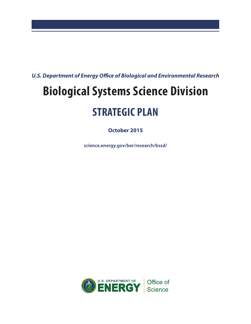*U.S. Department of Energy Office of Biological and Environmental Research*

# **Biological Systems Science Division**

# **STRATEGIC PLAN**

**October 2015**

**[science.energy.gov/ber/research/bssd/](http://www.science.energy.gov/ber/research/bssd/)**

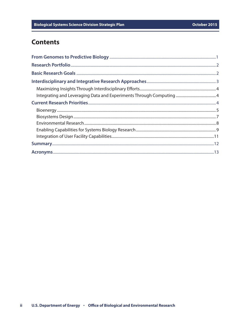# **Contents**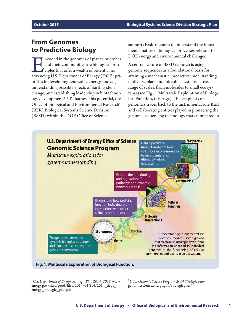# <span id="page-4-0"></span>**From Genomes to Predictive Biology**

Incoded in the genomes of plants, microbes,<br>and their communities are biological prin-<br>ciples that offer a wealth of potential for<br>advancing U.S. Department of Energy (DOE) priand their communities are biological principles that offer a wealth of potential for advancing U.S. Department of Energy (DOE) priorities in developing renewable energy sources, understanding possible effects of Earth system change, and establishing leadership in biotechnology development.1–2 To harness this potential, the Office of Biological and Environmental Research's (BER) Biological Systems Science Division (BSSD) within the DOE Office of Science

supports basic research to understand the fundamental nature of biological processes relevant to DOE energy and environmental challenges.

A central feature of BSSD research is using genome sequences as a foundational basis for attaining a mechanistic, predictive understanding of diverse plant and microbial systems across a range of scales, from molecules to small ecosystems (see Fig. 1. Multiscale Exploration of Biological Function, this page). This emphasis on genomics traces back to the instrumental role BER and collaborating entities played in pioneering the genome sequencing technology that culminated in



<sup>1</sup>*U.S. Department of Energy Strategic Plan 2014–2018.* [www.](http://www.energy.gov/sites/prod/files/2014/04/f14/2014_dept_energy_strategic_plan.pdf) [energy.gov/sites/prod/files/2014/04/f14/2014\\_dept\\_](http://www.energy.gov/sites/prod/files/2014/04/f14/2014_dept_energy_strategic_plan.pdf) [energy\\_strategic\\_plan.pdf](http://www.energy.gov/sites/prod/files/2014/04/f14/2014_dept_energy_strategic_plan.pdf)

<sup>2</sup>*DOE Genomic Science Program 2014 Strategic Plan.* [genomicscience.energy.gov/strategicplan/](http://genomicscience.energy.gov/strategicplan/index.shtml)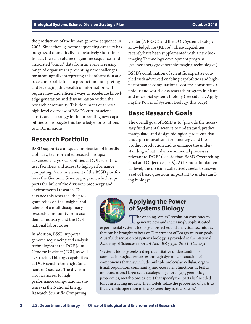<span id="page-5-0"></span>the production of the human genome sequence in 2003. Since then, genome sequencing capacity has progressed dramatically in a relatively short time. In fact, the vast volume of genome sequences and associated "omics" data from an ever-increasing range of organisms is presenting new challenges for meaningfully interpreting this information at a pace comparable to data production. Interpreting and leveraging this wealth of information will require new and efficient ways to accelerate knowledge generation and dissemination within the research community. This document outlines a high-level overview of BSSD's current science efforts and a strategy for incorporating new capabilities to propagate this knowledge for solutions to DOE missions.

# **Research Portfolio**

BSSD supports a unique combination of interdisciplinary, team-oriented research groups; advanced analysis capabilities at DOE scientific user facilities; and access to high-performance computing. A major element of the BSSD portfolio is the Genomic Science program, which supports the bulk of the division's bioenergy and

environmental research. To advance this research, the program relies on the insights and talents of a multidisciplinary research community from academia, industry, and the DOE national laboratories.

In addition, BSSD supports genome sequencing and analysis technologies at the DOE Joint Genome Institute ( JGI), as well as structural biology capabilities at DOE synchrotron light (and neutron) sources. The division also has access to highperformance computational systems via the National Energy Research Scientific Computing

Center (NERSC) and the DOE Systems Biology Knowledgebase (KBase). These capabilities recently have been supplemented with a new Bioimaging Technology development program [\(science.energy.gov/ber/bioimaging-technology/](http://science.energy.gov/ber/bioimaging-technology/)).

BSSD's combination of scientific expertise coupled with advanced enabling capabilities and highperformance computational systems constitutes a unique and world-class research program in plant and microbial systems biology (see sidebar, Applying the Power of Systems Biology, this page).

# **Basic Research Goals**

The overall goal of BSSD is to "provide the necessary fundamental science to understand, predict, manipulate, and design biological processes that underpin innovations for bioenergy and bioproduct production and to enhance the understanding of natural environmental processes relevant to DOE" (see sidebar, BSSD Overarching Goal and Objectives, p. 3). At its most fundamental level, the division collectively seeks to answer a set of basic questions important to understanding biology:



# **Applying the Power of Systems Biology**

The ongoing "omics" revolution continues to generate new and increasingly sophisticated

experimental systems biology approaches and analytical techniques that can be brought to bear on Department of Energy mission goals. A useful description of systems biology is provided in the National Academy of Sciences report, *A New Biology for the 21st Century*:

"Systems biology seeks a deep quantitative understanding of complex biological processes through dynamic interaction of components that may include multiple molecular, cellular, organismal, population, community, and ecosystem functions. It builds on foundational large-scale cataloguing efforts (e.g., genomics, proteomics, metabolomics, etc.) that specify the 'parts list' needed for constructing models. The models relate the properties of parts to the dynamic operation of the systems they participate in."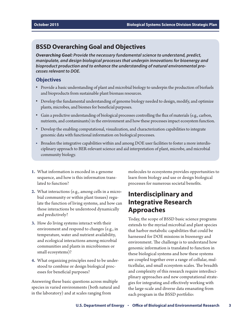# <span id="page-6-0"></span>**BSSD Overarching Goal and Objectives**

*Overarching Goal: Provide the necessary fundamental science to understand, predict, manipulate, and design biological processes that underpin innovations for bioenergy and bioproduct production and to enhance the understanding of natural environmental processes relevant to DOE.*

### **Objectives**

- **•** Provide a basic understanding of plant and microbial biology to underpin the production of biofuels and bioproducts from sustainable plant biomass resources.
- **•** Develop the fundamental understanding of genome biology needed to design, modify, and optimize plants, microbes, and biomes for beneficial purposes.
- **•** Gain a predictive understanding of biological processes controlling the flux of materials (e.g., carbon, nutrients, and contaminants) in the environment and how these processes impact ecosystem function.
- **•** Develop the enabling computational, visualization, and characterization capabilities to integrate genomic data with functional information on biological processes.
- **•** Broaden the integrative capabilities within and among DOE user facilities to foster a more interdisciplinary approach to BER-relevant science and aid interpretation of plant, microbe, and microbial community biology.
- **1.** What information is encoded in a genome sequence, and how is this information translated to function?
- **2.** What interactions (e.g., among cells in a microbial community or within plant tissues) regulate the function of living systems, and how can these interactions be understood dynamically and predictively?
- **3.** How do living systems interact with their environment and respond to changes (e.g., in temperature, water and nutrient availability, and ecological interactions among microbial communities and plants in microbiomes or small ecosystems)?
- **4.** What organizing principles need to be understood to combine or design biological processes for beneficial purposes?

Answering these basic questions across multiple species in varied environments (both natural and in the laboratory) and at scales ranging from

molecules to ecosystems provides opportunities to learn from biology and use or design biological processes for numerous societal benefits.

# **Interdisciplinary and Integrative Research Approaches**

Today, the scope of BSSD basic science programs extends to the myriad microbial and plant species that harbor metabolic capabilities that could be harnessed for DOE missions in bioenergy and environment. The challenge is to understand how genomic information is translated to function in these biological systems and how these systems are coupled together over a range of cellular, multicellular, and small ecosystem scales. The breadth and complexity of this research require interdisciplinary approaches and new computational strategies for integrating and effectively working with the large-scale and diverse data emanating from each program in the BSSD portfolio: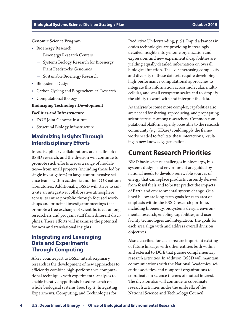#### <span id="page-7-0"></span>Genomic Science Program

- **•** Bioenergy Research
	- **–** Bioenergy Research Centers
	- **–** Systems Biology Research for Bioenergy
	- **–** Plant Feedstocks Genomics
	- **–** Sustainable Bioenergy Research
- **•** Biosystems Design
- **•** Carbon Cycling and Biogeochemical Research
- **•** Computational Biology

#### **Bioimaging Technology Development**

#### **Facilities and Infrastructure**

- **•** DOE Joint Genome Institute
- **•** Structural Biology Infrastructure

# **Maximizing Insights Through Interdisciplinary Efforts**

Interdisciplinary collaborations are a hallmark of BSSD research, and the division will continue to promote such efforts across a range of modalities—from small projects (including those led by single investigators) to large comprehensive science teams within academia and the DOE national laboratories. Additionally, BSSD will strive to cultivate an integrative, collaborative atmosphere across its entire portfolio through focused workshops and principal investigator meetings that promote a free exchange of scientific ideas among researchers and program staff from different disciplines. These efforts will maximize the potential for new and translational insights.

# **Integrating and Leveraging Data and Experiments Through Computing**

A key counterpart to BSSD interdisciplinary research is the development of new approaches to efficiently combine high-performance computational techniques with experimental analyses to enable iterative hypothesis-based research on whole biological systems (see. Fig. 2. Integrating Experiments, Computing, and Technologies for

Predictive Understanding, p. 5). Rapid advances in omics technologies are providing increasingly detailed insights into genome organization and expression, and new experimental capabilities are yielding equally detailed information on overall biological function. The ever-increasing complexity and diversity of these datasets require developing high-performance computational approaches to integrate this information across molecular, multicellular, and small ecosystem scales and to simplify the ability to work with and interpret the data.

As analyses become more complex, capabilities also are needed for sharing, reproducing, and propagating scientific results among researchers. Common computational platforms openly accessible to the research community (e.g., KBase) could supply the frameworks needed to facilitate these interactions, resulting in new knowledge generation.

# **Current Research Priorities**

BSSD basic science challenges in bioenergy, biosystems design, and environment are guided by national needs to develop renewable sources of energy that can replace products currently derived from fossil fuels and to better predict the impacts of Earth and environmental system change. Outlined below are long-term goals for each area of emphasis within the BSSD research portfolio, including bioenergy, biosystems design, environmental research, enabling capabilities, and user facility technologies and integration. The goals for each area align with and address overall division objectives.

Also described for each area are important existing or future linkages with other entities both within and external to DOE that pursue complementary research activities. In addition, BSSD will maintain communications with the National Academies, scientific societies, and nonprofit organizations to coordinate on science themes of mutual interest. The division also will continue to coordinate research activities under the umbrella of the National Science and Technology Council.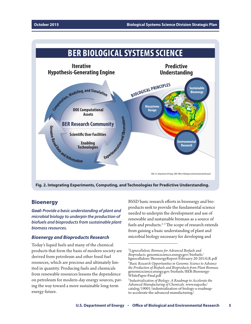<span id="page-8-0"></span>

**Fig. 2. Integrating Experiments, Computing, and Technologies for Predictive Understanding.**

# **Bioenergy**

*Goal: Provide a basic understanding of plant and microbial biology to underpin the production of biofuels and bioproducts from sustainable plant biomass resources.*

### *Bioenergy and Bioproducts Research*

Today's liquid fuels and many of the chemical products that form the basis of modern society are derived from petroleum and other fossil fuel resources, which are precious and ultimately limited in quantity. Producing fuels and chemicals from renewable resources lessens the dependence on petroleum for modern-day energy sources, paving the way toward a more sustainable long-term energy future.

BSSD basic research efforts in bioenergy and bioproducts seek to provide the fundamental science needed to underpin the development and use of renewable and sustainable biomass as a source of fuels and products. $2-5$  The scope of research extends from gaining a basic understanding of plant and microbial biology necessary for developing and

<sup>3</sup> *Lignocellulosic Biomass for Advanced Biofuels and Bioproducts.* [genomicscience.energy.gov/biofuels/](http://genomicscience.energy.gov/biofuels/lignocellulose/BioenergyReport-February-20-2015LR.pdf) [lignocellulose/BioenergyReport-February-20-2015LR.pdf](http://genomicscience.energy.gov/biofuels/lignocellulose/BioenergyReport-February-20-2015LR.pdf) 4 *Basic Research Opportunities in Genomic Science to Advance the Production of Biofuels and Bioproducts from Plant Biomass.* [genomicscience.energy.gov/biofuels/BER-Bioenergy-](http://genomicscience.energy.gov/biofuels/BER-Bioenergy-WhitePaper-Final.pdf)[WhitePaper-Final.pdf](http://genomicscience.energy.gov/biofuels/BER-Bioenergy-WhitePaper-Final.pdf)

<sup>5</sup> *Industrialization of Biology: A Roadmap to Accelerate the Advanced Manufacturing of Chemicals.* [www.nap.edu/](http://www.nap.edu/catalog/19001/industrialization-of-biology-a-roadmap-to-accelerate-the-advanced-manufacturing) [catalog/19001/industrialization-of-biology-a-roadmap](http://www.nap.edu/catalog/19001/industrialization-of-biology-a-roadmap-to-accelerate-the-advanced-manufacturing)[to-accelerate-the-advanced-manufacturing](http://www.nap.edu/catalog/19001/industrialization-of-biology-a-roadmap-to-accelerate-the-advanced-manufacturing)/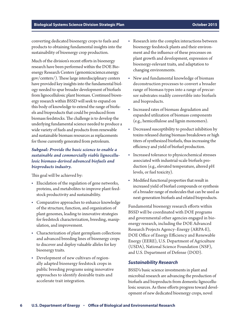converting dedicated bioenergy crops to fuels and products to obtaining fundamental insights into the sustainability of bioenergy crop production.

Much of the division's recent efforts in bioenergy research have been performed within the DOE Bioenergy Research Centers [\(genomicscience.energy.](http://genomicscience.energy.gov/centers/index.shtml) [gov/centers/\)](http://genomicscience.energy.gov/centers/index.shtml). These large interdisciplinary centers have provided key insights into the fundamental biology needed to spur broader development of biofuels from lignocellulosic plant biomass. Continued bioenergy research within BSSD will seek to expand on this body of knowledge to extend the range of biofuels and bioproducts that could be produced from biomass feedstocks. The challenge is to develop the underlying fundamental science needed to produce a wide variety of fuels and products from renewable and sustainable biomass resources as replacements for those currently generated from petroleum.

## *Subgoal: Provide the basic science to enable a sustainable and commercially viable lignocellulosic biomass-derived advanced biofuels and bioproducts industry.*

This goal will be achieved by:

- **•** Elucidation of the regulation of gene networks, proteins, and metabolites to improve plant feedstock productivity and sustainability.
- **•** Comparative approaches to enhance knowledge of the structure, function, and organization of plant genomes, leading to innovative strategies for feedstock characterization, breeding, manipulation, and improvement.
- **•** Characterization of plant germplasm collections and advanced breeding lines of bioenergy crops to discover and deploy valuable alleles for key bioenergy traits.
- **•** Development of new cultivars of regionally adapted bioenergy feedstock crops in public breeding programs using innovative approaches to identify desirable traits and accelerate trait integration.
- **•** Research into the complex interactions between bioenergy feedstock plants and their environment and the influence of these processes on plant growth and development, expression of bioenergy-relevant traits, and adaptation to changing environments.
- **•** New and fundamental knowledge of biomass deconstruction processes to convert a broader range of biomass types into a range of precursor substrates readily convertible into biofuels and bioproducts.
- **•** Increased rates of biomass degradation and expanded utilization of biomass components (e.g., hemicellulose and lignin monomers).
- **•** Decreased susceptibility to product inhibition by toxins released during biomass breakdown or high titers of synthesized biofuels, thus increasing the efficiency and yield of biofuel production.
- **•** Increased tolerance to physicochemical stresses associated with industrial-scale biofuels production (e.g., elevated temperature, altered pH levels, or fuel toxicity).
- **•** Modified functional properties that result in increased yield of biofuel compounds or synthesis of a broader range of molecules that can be used as next-generation biofuels and related bioproducts.

Fundamental bioenergy research efforts within BSSD will be coordinated with DOE programs and governmental other agencies engaged in bioenergy research, including the DOE Advanced Research Projects Agency–Energy (ARPA-E), DOE Office of Energy Efficiency and Renewable Energy (EERE), U.S. Department of Agriculture (USDA), National Science Foundation (NSF), and U.S. Department of Defense (DOD).

### *Sustainability Research*

BSSD's basic science investments in plant and microbial research are advancing the production of biofuels and bioproducts from domestic lignocellulosic sources. As these efforts progress toward development of new dedicated bioenergy crops, novel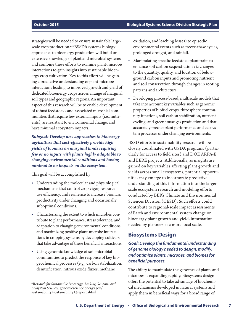<span id="page-10-0"></span>strategies will be needed to ensure sustainable largescale crop production.<sup>2,6</sup>BSSD's systems biology approaches to bioenergy production will build on extensive knowledge of plant and microbial systems and combine these efforts to examine plant-microbe interactions to gain insights into sustainable bioenergy crop cultivation. Key to this effort will be gaining a predictive understanding of plant-microbe interactions leading to improved growth and yield of dedicated bioenergy crops across a range of marginal soil types and geographic regions. An important aspect of this research will be to enable development of robust feedstocks and associated microbial communities that require few external inputs (i.e., nutrients), are resistant to environmental change, and have minimal ecosystem impacts.

*Subgoal: Develop new approaches to bioenergy agriculture that cost-effectively provide high yields of biomass on marginal lands requiring few or no inputs with plants highly adaptable to changing environmental conditions and having minimal to no impacts on the ecosystem.*

This goal will be accomplished by:

- **•** Understanding the molecular and physiological mechanisms that control crop vigor, resource use efficiency, and resilience to increase biomass productivity under changing and occasionally suboptimal conditions.
- **•** Characterizing the extent to which microbes contribute to plant performance, stress tolerance, and adaptation to changing environmental conditions and maximizing positive plant-microbe interactions in cropping systems by developing cultivars that take advantage of these beneficial interactions.
- **•** Using genomic knowledge of soil microbial communities to predict the response of key biogeochemical processes (e.g., carbon stabilization, denitrification, nitrous oxide fluxes, methane

oxidation, and leaching losses) to episodic environmental events such as freeze-thaw cycles, prolonged drought, and rainfall.

- **•** Manipulating specific feedstock plant traits to enhance soil carbon sequestration via changes to the quantity, quality, and location of belowground carbon inputs and promoting nutrient and soil conservation through changes in rooting patterns and architecture.
- **•** Developing process-based, multiscale models that take into account key variables such as genomic properties of biofuel crops, rhizosphere community functions, soil carbon stabilization, nutrient cycling, and greenhouse gas production and that accurately predict plant performance and ecosystem processes under changing environments.

BSSD efforts in sustainability research will be closely coordinated with USDA programs (particularly for access to field sites) and DOE ARPA-E and EERE projects. Additionally, as insights are gained on key variables affecting plant growth and yields across small ecosystems, potential opportunities may emerge to incorporate predictive understanding of this information into the largerscale ecosystem research and modeling efforts conducted by BER's Climate and Environmental Sciences Division (CESD). Such efforts could contribute to regional-scale impact assessments of Earth and environmental system change on bioenergy plant growth and yield, information needed by planners at a more local scale.

# **Biosystems Design**

# *Goal: Develop the fundamental understanding of genome biology needed to design, modify, and optimize plants, microbes, and biomes for beneficial purposes.*

The ability to manipulate the genomes of plants and microbes is expanding rapidly. Biosystems design offers the potential to take advantage of biochemical mechanisms developed in natural systems and apply them in beneficial ways for a broad range of

<sup>6</sup> *Research for Sustainable Bioenergy: Linking Genomic and Ecosystem Sciences.* [genomicscience.energy.gov/](http://genomicscience.energy.gov/sustainability/sustainability13report.shtml) [sustainability/sustainability13report.shtml](http://genomicscience.energy.gov/sustainability/sustainability13report.shtml)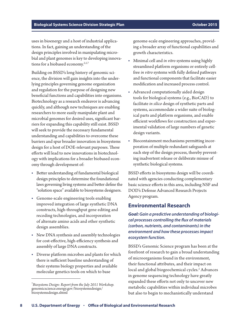<span id="page-11-0"></span>uses in bioenergy and a host of industrial applications. In fact, gaining an understanding of the design principles involved in manipulating microbial and plant genomes is key to developing innovations for a biobased economy. $2,5,7$ 

Building on BSSD's long history of genomic science, the division will gain insights into the underlying principles governing genome organization and regulation for the purpose of designing new beneficial functions and capabilities into organisms. Biotechnology as a research endeavor is advancing quickly, and although new techniques are enabling researchers to more easily manipulate plant and microbial genomes for desired uses, significant barriers for expanding this capability still exist. BSSD will seek to provide the necessary fundamental understanding and capabilities to overcome these barriers and spur broader innovation in biosystems design for a host of DOE-relevant purposes. These efforts will lead to new innovations in biotechnology with implications for a broader biobased economy through development of:

- **•** Better understanding of fundamental biological design principles to determine the foundational laws governing living systems and better define the "solution space" available to biosystems designers.
- **•** Genome-scale engineering tools enabling improved integration of large synthetic DNA constructs, high-throughput gene editing and recoding technologies, and incorporation of alternate amino acids and other synthetic design assemblies.
- **•** New DNA synthesis and assembly technologies for cost-effective, high-efficiency synthesis and assembly of large DNA constructs.
- **•** Diverse platform microbes and plants for which there is sufficient baseline understanding of their systems biology properties and available molecular genetics tools on which to base

genome-scale engineering approaches, providing a broader array of functional capabilities and growth characteristics.

- **•** Minimal cell and *in vitro* systems using highly streamlined platform organisms or entirely cellfree *in vitro* systems with fully defined pathways and functional components that facilitate easier modification and increased process control.
- **•** Advanced computationally aided design tools for biological systems (e.g., BioCAD) to facilitate *in silico* design of synthetic parts and systems, accommodate a wider suite of biological parts and platform organisms, and enable efficient workflows for construction and experimental validation of large numbers of genetic design variants.
- **•** Biocontainment mechanisms permitting incorporation of multiple redundant safeguards at each step of the design process, thereby preventing inadvertent release or deliberate misuse of synthetic biological systems.

BSSD efforts in biosystems design will be coordinated with agencies conducting complementary basic science efforts in this area, including NSF and DOD's Defense Advanced Research Projects Agency program.

### **Environmental Research**

*Goal: Gain a predictive understanding of biological processes controlling the flux of materials (carbon, nutrients, and contaminants) in the environment and how these processes impact ecosystem function.*

BSSD's Genomic Science program has been at the forefront of research to gain a broad understanding of microorganisms found in the environment, their functional attributes, and their impact on local and global biogeochemical cycles.<sup>2</sup> Advances in genome sequencing technology have greatly expanded these efforts not only to uncover new metabolic capabilities within individual microbes but also to begin to mechanistically understand

<sup>7</sup> *Biosystems Design: Report from the July 2011 Workshop.* [genomicscience.energy.gov/biosystemsdesign/](http://genomicscience.energy.gov/biosystemsdesign/biosystemsdesign.shtml) [biosystemsdesign.shtml](http://genomicscience.energy.gov/biosystemsdesign/biosystemsdesign.shtml)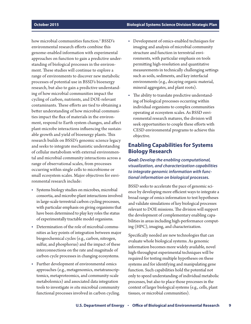<span id="page-12-0"></span>how microbial communities function.2 BSSD's environmental research efforts combine this genome-enabled information with experimental approaches on function to gain a predictive understanding of biological processes in the environment. These studies will continue to explore a range of environments to discover new metabolic processes of potential use in BSSD's bioenergy research, but also to gain a predictive understanding of how microbial communities impact the cycling of carbon, nutrients, and DOE-relevant contaminants. These efforts are tied to obtaining a better understanding of how microbial communities impact the flux of materials in the environment, respond to Earth system changes, and affect plant-microbe interactions influencing the sustainable growth and yield of bioenergy plants. This research builds on BSSD's genomic science legacy and seeks to integrate mechanistic understanding of cellular metabolism with external environmental and microbial community interactions across a range of observational scales, from processes occurring within single cells to microbiome or small ecosystem scales. Major objectives for environmental research include:

- **•** Systems biology studies on microbes, microbial consortia, and microbe-plant interactions involved in large-scale terrestrial carbon cycling processes, with particular emphasis on giving organisms that have been determined to play key roles the status of experimentally tractable model organisms.
- **•** Determination of the role of microbial communities as key points of integration between major biogeochemical cycles (e.g., carbon, nitrogen, sulfur, and phosphorus) and the impact of these interconnections on the rate and magnitude of carbon cycle processes in changing ecosystems.
- **•** Further development of environmental omics approaches (e.g., metagenomics, metatranscriptomics, metaproteomics, and community-scale metabolomics) and associated data integration tools to investigate *in situ* microbial community functional processes involved in carbon cycling.
- **•** Development of omics-enabled techniques for imaging and analysis of microbial community structure and function in terrestrial environments, with particular emphasis on tools permitting high-resolution and quantitative measurements in technically challenging settings such as soils, sediments, and key interfacial environments (e.g., decaying organic material, mineral aggregates, and plant roots).
- **•** The ability to translate predictive understanding of biological processes occurring within individual organisms to complex communities operating at ecosystem scales. As BSSD environmental research matures, the division will seek opportunities to couple these efforts with CESD environmental programs to achieve this objective.

# **Enabling Capabilities for Systems Biology Research**

*Goal: Develop the enabling computational, visualization, and characterization capabilities to integrate genomic information with functional information on biological processes.*

BSSD seeks to accelerate the pace of genomic science by developing more efficient ways to integrate a broad range of omics information to test hypotheses and validate simulations of key biological processes relevant to DOE missions. The division will support the development of complementary enabling capabilities in areas including high-performance computing (HPC), imaging, and characterization.

Specifically needed are new technologies that can evaluate whole biological systems. As genomic information becomes more widely available, novel high-throughput experimental techniques will be required for testing multiple hypotheses on these systems and for identifying and manipulating gene function. Such capabilities hold the potential not only to speed understanding of individual metabolic processes, but also to place those processes in the context of larger biological systems (e.g., cells, plant tissues, or microbial communities).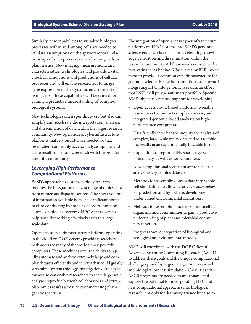Similarly, new capabilities to visualize biological processes within and among cells are needed to validate assumptions on the spatiotemporal relationships of such processes in and among cells or plant tissues. New imaging, measurement, and characterization technologies will provide a vital check on simulations and predictions of cellular processes and will enable researchers to image gene expression in the dynamic environment of living cells. These capabilities will be crucial for gaining a predictive understanding of complex biological systems.

New technologies often spur discovery but also can simplify and accelerate the interpretation, analysis, and dissemination of data within the larger research community. New open-access cyberinfrastructure platforms that rely on HPC are needed so that researchers can readily access, analyze, update, and share results of genomic research with the broader scientific community.

### *Leveraging High-Performance Computational Platforms*

BSSD's approach to systems biology research requires the integration of a vast range of omics data from numerous disparate sources. The sheer volume of information available is itself a significant bottleneck to conducting hypothesis-based research on complex biological systems. HPC offers a way to help simplify working effectively with this largescale data.

Open-access cyberinfrastructure platforms operating in the cloud on DOE systems provide researchers with access to many of the world's most powerful computers. These machines offer the ability to rapidly automate and analyze extremely large and complex datasets efficiently and in ways that could greatly streamline systems biology investigations. Such platforms also can enable researchers to share large-scale analyses reproducibly with collaborators and extrapolate omics results across an ever-increasing phylogenetic spectrum.

The integration of open-access cyberinfrastructure platforms on HPC systems into BSSD's genomic science endeavor is crucial for accelerating knowledge generation and dissemination within the research community. All these needs constitute the motivating ideas behind KBase, a major BER investment to provide a common cyberinfrastructure for genomic science. KBase is an ambitious step toward integrating HPC into genomic research, an effort that BSSD will pursue within its portfolio. Specific BSSD objectives include support for developing:

- **•** Open-access cloud-based platforms to enable researchers to conduct complex, diverse, and integrated genomic-based analyses on highperformance computers.
- **•** User-friendly interfaces to simplify the analysis of complex, large-scale omics data and to assemble the results in an experimentally tractable format.
- **•** Capabilities to reproducibly share large-scale omics analyses with other researchers.
- **•** New computationally efficient approaches for analyzing large omics datasets.
- **•** Methods for assembling omics data into wholecell simulations to allow iterative *in silico* behavior prediction and hypothesis development under varied environmental conditions.
- **•** Methods for assembling models of multicellular organisms and communities to gain a predictive understanding of plant and microbial community function.
- **•** Progress toward integration of biological and ecological or environmental models.

BSSD will coordinate with the DOE Office of Advanced Scientific Computing Research (ASCR) to address these goals and the unique computational challenges posed by large-scale genomics research and biological process simulation. Closer ties with ASCR programs are needed to understand and explore the potential for incorporating HPC and new computational approaches into biological research, not only for discovery science but also to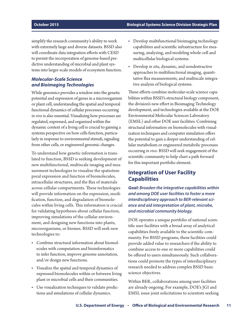<span id="page-14-0"></span>simplify the research community's ability to work with extremely large and diverse datasets. BSSD also will coordinate data integration efforts with CESD to permit the incorporation of genome-based predictive understanding of microbial and plant systems into larger-scale models of ecosystem function.

## *Molecular-Scale Science and Bioimaging Technologies*

While genomics provides a window into the genetic potential and expression of genes in a microorganism or plant cell, understanding the spatial and temporal functional dynamics of cellular processes occurring *in vivo* is also essential. Visualizing how processes are regulated, expressed, and organized within the dynamic context of a living cell is crucial to gaining a systems perspective on how cells function, particularly in response to environmental stimuli, signaling from other cells, or engineered genomic changes.

To understand how genetic information is translated to function, BSSD is seeking development of new multifunctional, multiscale imaging and measurement technologies to visualize the spatiotemporal expression and function of biomolecules, intracellular structures, and the flux of materials across cellular compartments. These technologies will provide information on the expression, modification, function, and degradation of biomolecules within living cells. This information is crucial for validating hypotheses about cellular function, improving simulations of the cellular environment, and designing new functions into plants, microorganisms, or biomes. BSSD will seek new technologies to:

- **•** Combine structural information about biomolecules with computation and bioinformatics to infer function, improve genome annotation, and/or design new functions.
- **•** Visualize the spatial and temporal dynamics of expressed biomolecules within or between living plant or microbial cells and their communities.
- **•** Use visualization techniques to validate predictions and simulations of cellular dynamics.
- **•** Develop multifunctional bioimaging technology capabilities and scientific infrastructure for measuring, analyzing, and modeling whole-cell and multicellular biological systems.
- **•** Develop *in situ*, dynamic, and nondestructive approaches to multifunctional imaging, quantitative flux measurements, and multiscale integrative analysis of biological systems.

These efforts combine molecular-scale science capabilities within BSSD's structural biology component, the division's new effort in Bioimaging Technology development, and technologies available at the DOE Environmental Molecular Sciences Laboratory (EMSL) and other DOE user facilities. Combining structural information on biomolecules with visualization techniques and computer simulation offers the potential to gain a deeper understanding of cellular metabolism or engineered metabolic processes occurring *in vivo*. BSSD will seek engagement of the scientific community to help chart a path forward for this important portfolio element.

# **Integration of User Facility Capabilities**

*Goal: Broaden the integrative capabilities within and among DOE user facilities to foster a more interdisciplinary approach to BER-relevant science and aid interpretation of plant, microbe, and microbial community biology.*

DOE operates a unique portfolio of national scientific user facilities with a broad array of analytical capabilities freely available to the scientific community. For BSSD programs, these facilities could provide added value to researchers if the ability to combine access to one or more capabilities could be offered to users simultaneously. Such collaborations could promote the types of interdisciplinary research needed to address complex BSSD basic science objectives.

Within BER, collaborations among user facilities are already ongoing. For example, DOE's JGI and EMSL issue joint solicitations to scientists seeking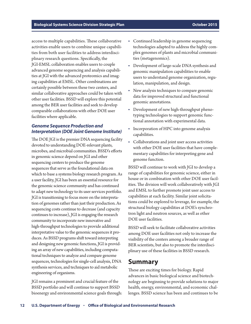<span id="page-15-0"></span>access to multiple capabilities. These collaborative activities enable users to combine unique capabilities from both user facilities to address interdisciplinary research questions. Specifically, the JGI-EMSL collaboration enables users to couple advanced genome sequencing and analysis capabilities at JGI with the advanced proteomics and imaging capabilities at EMSL. Other combinations are certainly possible between these two centers, and similar collaborative approaches could be taken with other user facilities. BSSD will explore this potential among the BER user facilities and seek to develop comparable collaborations with other DOE user facilities where applicable.

### *Genome Sequence Production and Interpretation (DOE Joint Genome Institute)*

The DOE JGI is the premier DNA sequencing facility devoted to understanding DOE-relevant plants, microbes, and microbial communities. BSSD's efforts in genomic science depend on JGI and other sequencing centers to produce the genome sequences that serve as the foundational data on which to base a systems biology research program. As a user facility, JGI has been an essential resource for the genomic science community and has continued to adapt new technology to its user services portfolio. JGI is transitioning to focus more on the interpretation of genomes rather than just their production. As sequencing costs continue to decrease (and capacity continues to increase), JGI is engaging the research community to incorporate new innovative and high-throughput technologies to provide additional interpretative value to the genomic sequences it produces. As BSSD programs shift toward interpreting and designing new genomic functions, JGI is providing an array of new capabilities, including computational techniques to analyze and compare genome sequences, technologies for single-cell analysis, DNA synthesis services, and techniques to aid metabolic engineering of organisms.

JGI remains a prominent and crucial feature of the BSSD portfolio and will continue to support BSSD bioenergy and environmental science goals through:

- **•** Continued leadership in genome sequencing technologies adapted to address the highly complex genomes of plants and microbial communities (metagenomics).
- **•** Development of large-scale DNA synthesis and genomic manipulation capabilities to enable users to understand genome organization, regulation, manipulation, and design.
- **•** New analysis techniques to compare genomic data for improved structural and functional genomic annotations.
- **•** Development of new high-throughput phenotyping technologies to support genomic functional annotation with experimental data.
- **•** Incorporation of HPC into genome analysis capabilities.
- **•** Collaborations and joint user access activities with other DOE user facilities that have complementary capabilities for interpreting gene and genome function.

BSSD will continue to work with JGI to develop a range of capabilities for genomic science, either in house or in combination with other DOE user facilities. The division will work collaboratively with JGI and EMSL to further promote joint user access to capabilities at each facility. Similar joint solicitations could be explored to leverage, for example, the structural biology capabilities at DOE's synchrotron light and neutron sources, as well as other DOE user facilities.

BSSD will seek to facilitate collaborative activities among DOE user facilities not only to increase the visibility of the centers among a broader range of BER scientists, but also to promote the interdisciplinary use of these facilities in BSSD research.

# **Summary**

These are exciting times for biology. Rapid advances in basic biological science and biotechnology are beginning to provide solutions to major health, energy, environmental, and economic challenges. BSSD science has been and continues to be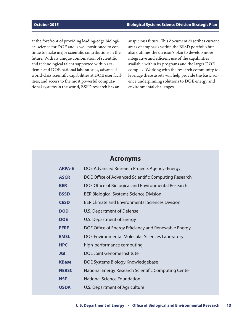<span id="page-16-0"></span>at the forefront of providing leading-edge biological science for DOE and is well positioned to continue to make major scientific contributions in the future. With its unique combination of scientific and technological talent supported within academia and DOE national laboratories, advanced world-class scientific capabilities at DOE user facilities, and access to the most powerful computational systems in the world, BSSD research has an

auspicious future. This document describes current areas of emphasis within the BSSD portfolio but also outlines the division's plan to develop more integrative and efficient use of the capabilities available within its programs and the larger DOE complex. Working with the research community to leverage these assets will help provide the basic science underpinning solutions to DOE energy and environmental challenges.

# **Acronyms**

| <b>ARPA-E</b> | DOE Advanced Research Projects Agency-Energy           |
|---------------|--------------------------------------------------------|
| <b>ASCR</b>   | DOE Office of Advanced Scientific Computing Research   |
| <b>BER</b>    | DOE Office of Biological and Environmental Research    |
| <b>BSSD</b>   | <b>BER Biological Systems Science Division</b>         |
| <b>CESD</b>   | <b>BER Climate and Environmental Sciences Division</b> |
| <b>DOD</b>    | U.S. Department of Defense                             |
| <b>DOE</b>    | U.S. Department of Energy                              |
| <b>EERE</b>   | DOE Office of Energy Efficiency and Renewable Energy   |
| <b>EMSL</b>   | DOE Environmental Molecular Sciences Laboratory        |
| <b>HPC</b>    | high-performance computing                             |
| <b>JGI</b>    | DOE Joint Genome Institute                             |
| <b>KBase</b>  | DOE Systems Biology Knowledgebase                      |
| <b>NERSC</b>  | National Energy Research Scientific Computing Center   |
| <b>NSF</b>    | <b>National Science Foundation</b>                     |
| <b>USDA</b>   | U.S. Department of Agriculture                         |